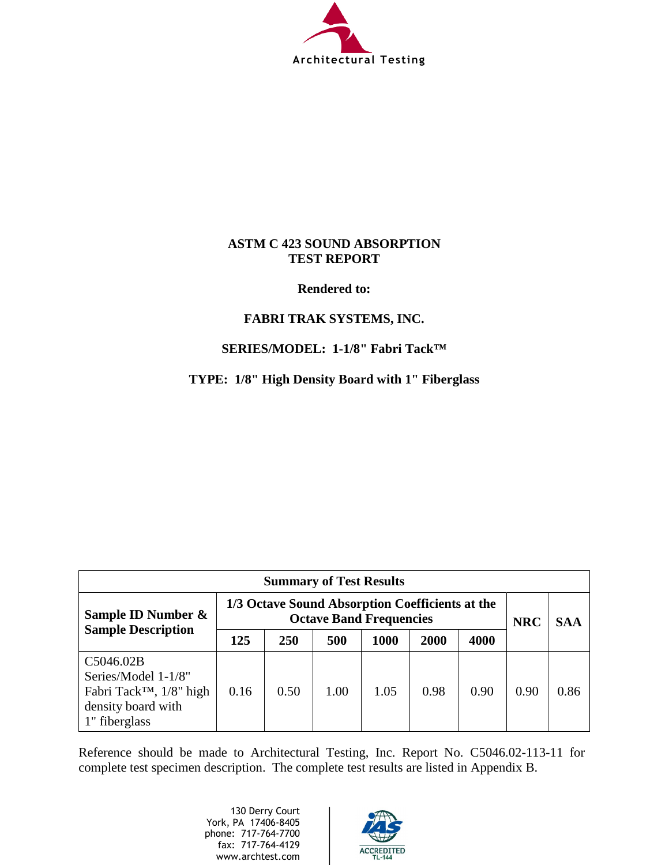

## **ASTM C 423 SOUND ABSORPTION TEST REPORT**

## **Rendered to:**

# **FABRI TRAK SYSTEMS, INC.**

# **SERIES/MODEL: 1-1/8" Fabri Tack™**

**TYPE: 1/8" High Density Board with 1" Fiberglass** 

| <b>Summary of Test Results</b>                                                                                 |                                                                                   |      |      |      |      |            |            |      |
|----------------------------------------------------------------------------------------------------------------|-----------------------------------------------------------------------------------|------|------|------|------|------------|------------|------|
| Sample ID Number &                                                                                             | 1/3 Octave Sound Absorption Coefficients at the<br><b>Octave Band Frequencies</b> |      |      |      |      | <b>NRC</b> | <b>SAA</b> |      |
| <b>Sample Description</b>                                                                                      | 125                                                                               | 250  | 500  | 1000 | 2000 | 4000       |            |      |
| C5046.02B<br>Series/Model 1-1/8"<br>Fabri Tack <sup>™</sup> , 1/8" high<br>density board with<br>1" fiberglass | 0.16                                                                              | 0.50 | 1.00 | 1.05 | 0.98 | 0.90       | 0.90       | 0.86 |

Reference should be made to Architectural Testing, Inc. Report No. C5046.02-113-11 for complete test specimen description. The complete test results are listed in Appendix B.

> 130 Derry Court York, PA 17406-8405 phone: 717-764-7700 fax: 717-764-4129 www.archtest.com

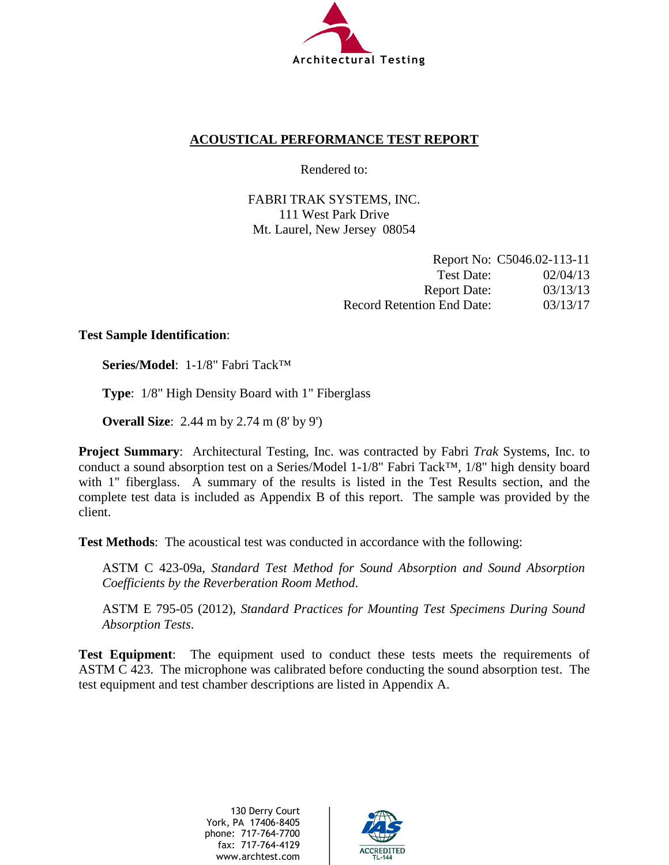

# **ACOUSTICAL PERFORMANCE TEST REPORT**

Rendered to:

FABRI TRAK SYSTEMS, INC. 111 West Park Drive Mt. Laurel, New Jersey 08054

|                                   | Report No: C5046.02-113-11 |
|-----------------------------------|----------------------------|
| Test Date:                        | 02/04/13                   |
| <b>Report Date:</b>               | 03/13/13                   |
| <b>Record Retention End Date:</b> | 03/13/17                   |

## **Test Sample Identification**:

**Series/Model**: 1-1/8" Fabri Tack™

**Type**: 1/8" High Density Board with 1" Fiberglass

**Overall Size**: 2.44 m by 2.74 m (8' by 9')

**Project Summary**: Architectural Testing, Inc. was contracted by Fabri *Trak* Systems, Inc. to conduct a sound absorption test on a Series/Model 1-1/8" Fabri Tack™, 1/8" high density board with 1" fiberglass. A summary of the results is listed in the Test Results section, and the complete test data is included as Appendix B of this report. The sample was provided by the client.

**Test Methods**: The acoustical test was conducted in accordance with the following:

ASTM C 423-09a, *Standard Test Method for Sound Absorption and Sound Absorption Coefficients by the Reverberation Room Method*.

ASTM E 795-05 (2012), *Standard Practices for Mounting Test Specimens During Sound Absorption Tests*.

**Test Equipment**: The equipment used to conduct these tests meets the requirements of ASTM C 423. The microphone was calibrated before conducting the sound absorption test. The test equipment and test chamber descriptions are listed in Appendix A.

> 130 Derry Court York, PA 17406-8405 phone: 717-764-7700 fax: 717-764-4129 www.archtest.com

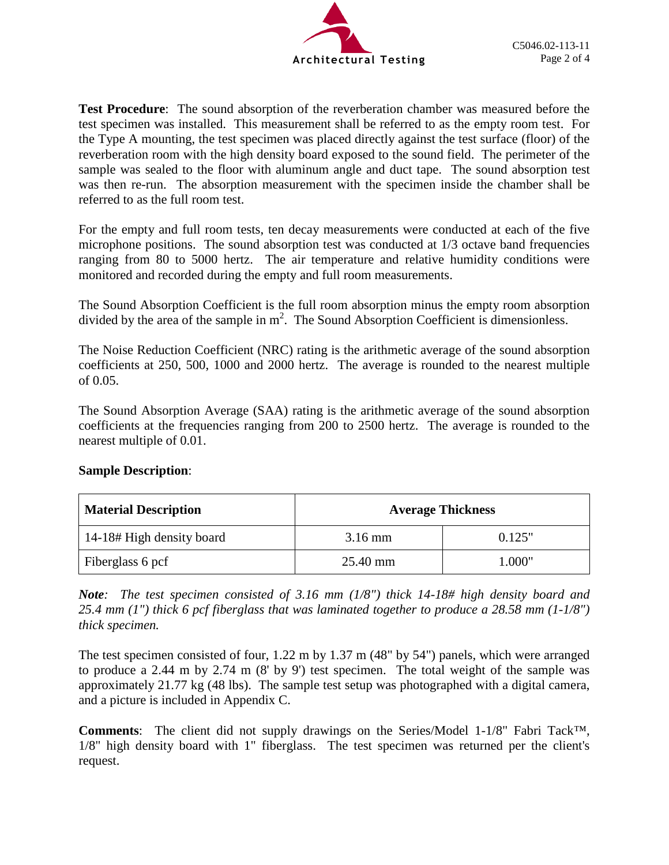

**Test Procedure**: The sound absorption of the reverberation chamber was measured before the test specimen was installed. This measurement shall be referred to as the empty room test. For the Type A mounting, the test specimen was placed directly against the test surface (floor) of the reverberation room with the high density board exposed to the sound field. The perimeter of the sample was sealed to the floor with aluminum angle and duct tape. The sound absorption test was then re-run. The absorption measurement with the specimen inside the chamber shall be referred to as the full room test.

For the empty and full room tests, ten decay measurements were conducted at each of the five microphone positions. The sound absorption test was conducted at 1/3 octave band frequencies ranging from 80 to 5000 hertz. The air temperature and relative humidity conditions were monitored and recorded during the empty and full room measurements.

The Sound Absorption Coefficient is the full room absorption minus the empty room absorption divided by the area of the sample in  $m^2$ . The Sound Absorption Coefficient is dimensionless.

The Noise Reduction Coefficient (NRC) rating is the arithmetic average of the sound absorption coefficients at 250, 500, 1000 and 2000 hertz. The average is rounded to the nearest multiple of 0.05.

The Sound Absorption Average (SAA) rating is the arithmetic average of the sound absorption coefficients at the frequencies ranging from 200 to 2500 hertz. The average is rounded to the nearest multiple of 0.01.

| <b>Material Description</b> | <b>Average Thickness</b> |        |  |  |
|-----------------------------|--------------------------|--------|--|--|
| 14-18# High density board   | $3.16 \text{ mm}$        | 0.125" |  |  |
| Fiberglass 6 pcf            | 25.40 mm                 | 1.000" |  |  |

# **Sample Description**:

*Note: The test specimen consisted of 3.16 mm (1/8") thick 14-18# high density board and 25.4 mm (1") thick 6 pcf fiberglass that was laminated together to produce a 28.58 mm (1-1/8") thick specimen.*

The test specimen consisted of four, 1.22 m by 1.37 m (48" by 54") panels, which were arranged to produce a 2.44 m by 2.74 m (8' by 9') test specimen. The total weight of the sample was approximately 21.77 kg (48 lbs). The sample test setup was photographed with a digital camera, and a picture is included in Appendix C.

**Comments**: The client did not supply drawings on the Series/Model 1-1/8" Fabri Tack™, 1/8" high density board with 1" fiberglass. The test specimen was returned per the client's request.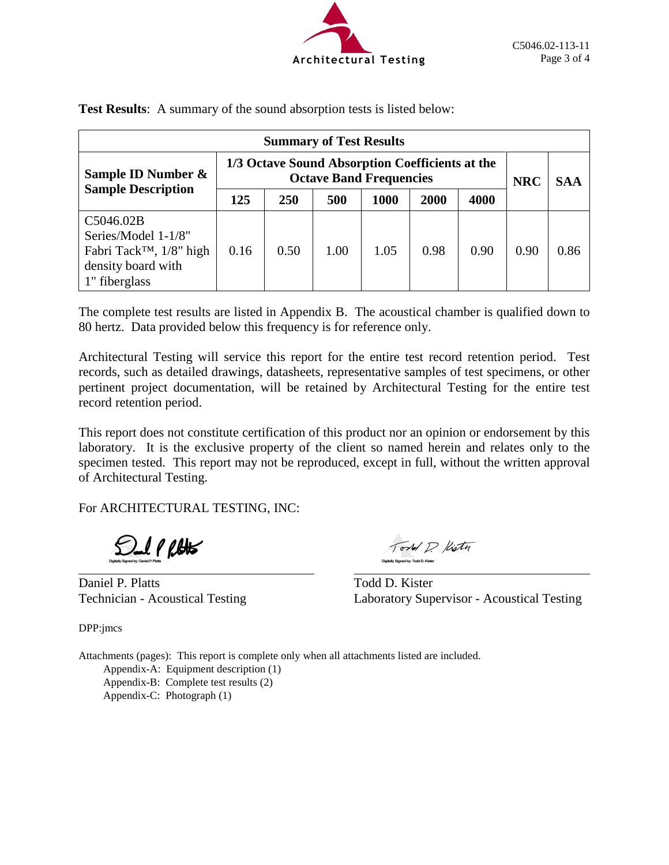

| <b>Summary of Test Results</b>                                                                                     |                                                                                   |      |      |      |      |            |            |      |
|--------------------------------------------------------------------------------------------------------------------|-----------------------------------------------------------------------------------|------|------|------|------|------------|------------|------|
| Sample ID Number &                                                                                                 | 1/3 Octave Sound Absorption Coefficients at the<br><b>Octave Band Frequencies</b> |      |      |      |      | <b>NRC</b> | <b>SAA</b> |      |
| <b>Sample Description</b>                                                                                          | 125                                                                               | 250  | 500  | 1000 | 2000 | 4000       |            |      |
| C5046.02B<br>Series/Model 1-1/8"<br>Fabri Tack <sup>TM</sup> , $1/8$ " high<br>density board with<br>1" fiberglass | 0.16                                                                              | 0.50 | 1.00 | 1.05 | 0.98 | 0.90       | 0.90       | 0.86 |

**Test Results**: A summary of the sound absorption tests is listed below:

The complete test results are listed in Appendix B. The acoustical chamber is qualified down to 80 hertz. Data provided below this frequency is for reference only.

Architectural Testing will service this report for the entire test record retention period. Test records, such as detailed drawings, datasheets, representative samples of test specimens, or other pertinent project documentation, will be retained by Architectural Testing for the entire test record retention period.

This report does not constitute certification of this product nor an opinion or endorsement by this laboratory. It is the exclusive property of the client so named herein and relates only to the specimen tested. This report may not be reproduced, except in full, without the written approval of Architectural Testing.

For ARCHITECTURAL TESTING, INC:

**Sulphas** 

Daniel P. Platts Todd D. Kister

Tord D. Kistn Digitally Signed by: Todd D. Kiste

Technician - Acoustical Testing Laboratory Supervisor - Acoustical Testing

DPP:jmcs

Attachments (pages): This report is complete only when all attachments listed are included. Appendix-A: Equipment description (1) Appendix-B: Complete test results (2) Appendix-C: Photograph (1)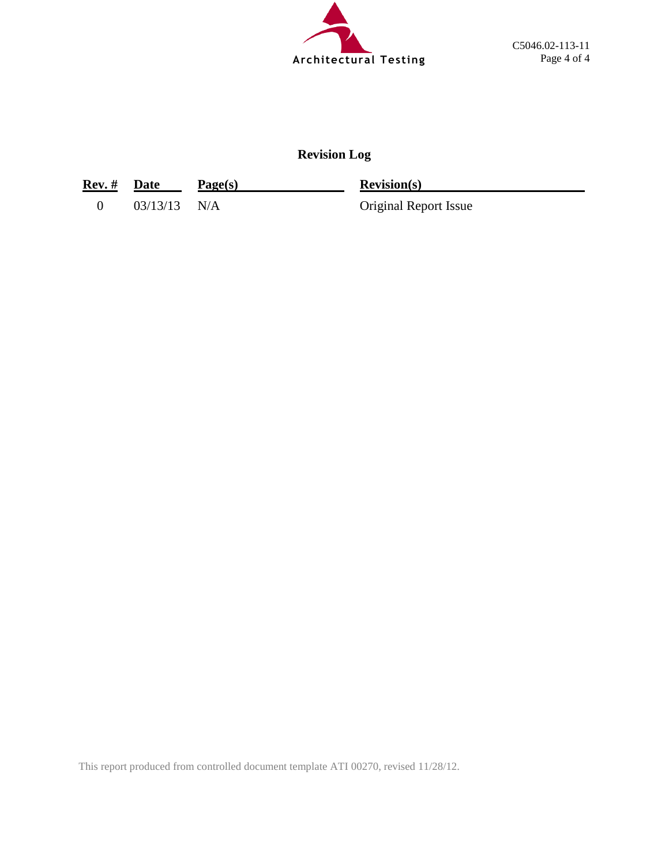

# **Revision Log**

| Rev. # Date |                | Page(s) | <b>Revision(s)</b>           |
|-------------|----------------|---------|------------------------------|
|             | $03/13/13$ N/A |         | <b>Original Report Issue</b> |

This report produced from controlled document template ATI 00270, revised 11/28/12.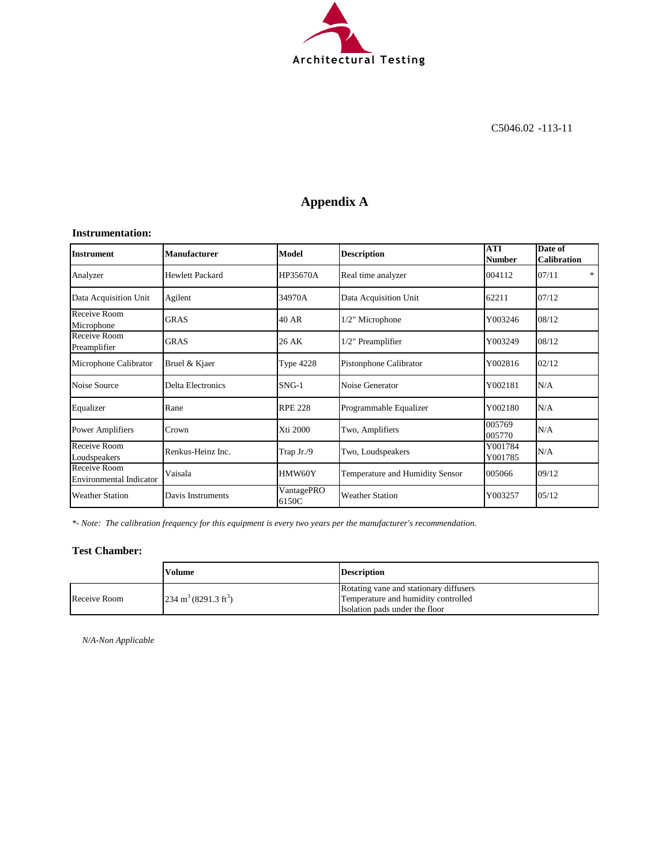

# **Appendix A**

#### **Instrumentation:**

| <b>Instrument</b>                              | Manufacturer             | Model               | <b>Description</b>              | <b>ATI</b><br>Number | Date of<br><b>Calibration</b> |
|------------------------------------------------|--------------------------|---------------------|---------------------------------|----------------------|-------------------------------|
| Analyzer                                       | Hewlett Packard          | HP35670A            | Real time analyzer              | 004112               | 07/11<br>*                    |
| Data Acquisition Unit                          | Agilent                  | 34970A              | Data Acquisition Unit           | 62211                | 07/12                         |
| Receive Room<br>Microphone                     | <b>GRAS</b>              | 40 AR               | 1/2" Microphone                 | Y003246              | 08/12                         |
| Receive Room<br>Preamplifier                   | <b>GRAS</b>              | 26 AK               | 1/2" Preamplifier               | Y003249              | 08/12                         |
| Microphone Calibrator                          | Bruel & Kjaer            | <b>Type 4228</b>    | Pistonphone Calibrator          | Y002816              | 02/12                         |
| Noise Source                                   | <b>Delta Electronics</b> | $SNG-1$             | Noise Generator                 | Y002181              | N/A                           |
| Equalizer                                      | Rane                     | <b>RPE 228</b>      | Programmable Equalizer          | Y002180              | N/A                           |
| Power Amplifiers                               | Crown                    | Xti 2000            | Two, Amplifiers                 | 005769<br>005770     | N/A                           |
| Receive Room<br>Loudspeakers                   | Renkus-Heinz Inc.        | Trap Jr./9          | Two, Loudspeakers               | Y001784<br>Y001785   | N/A                           |
| Receive Room<br><b>Environmental Indicator</b> | Vaisala                  | HMW60Y              | Temperature and Humidity Sensor | 005066               | 09/12                         |
| <b>Weather Station</b>                         | Davis Instruments        | VantagePRO<br>6150C | <b>Weather Station</b>          | Y003257              | 05/12                         |

*\*- Note: The calibration frequency for this equipment is every two years per the manufacturer's recommendation.*

#### **Test Chamber:**

|              | Volume                                  | <b>Description</b>                     |
|--------------|-----------------------------------------|----------------------------------------|
|              |                                         | Rotating vane and stationary diffusers |
| Receive Room | $234 \text{ m}^3 (8291.3 \text{ ft}^3)$ | Temperature and humidity controlled    |
|              |                                         | Isolation pads under the floor         |

*N/A-Non Applicable*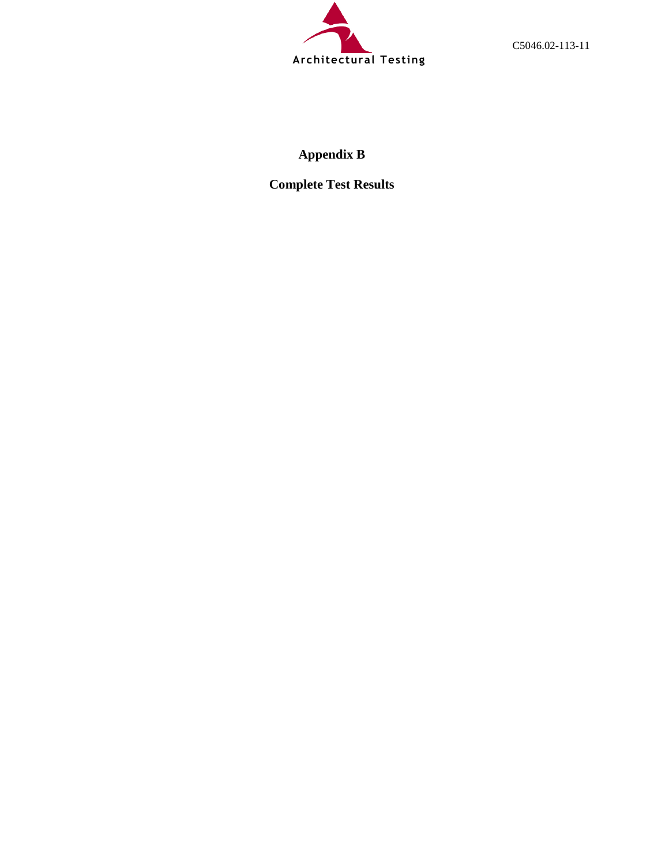

C5046.02-113-11

# **Appendix B**

**Complete Test Results**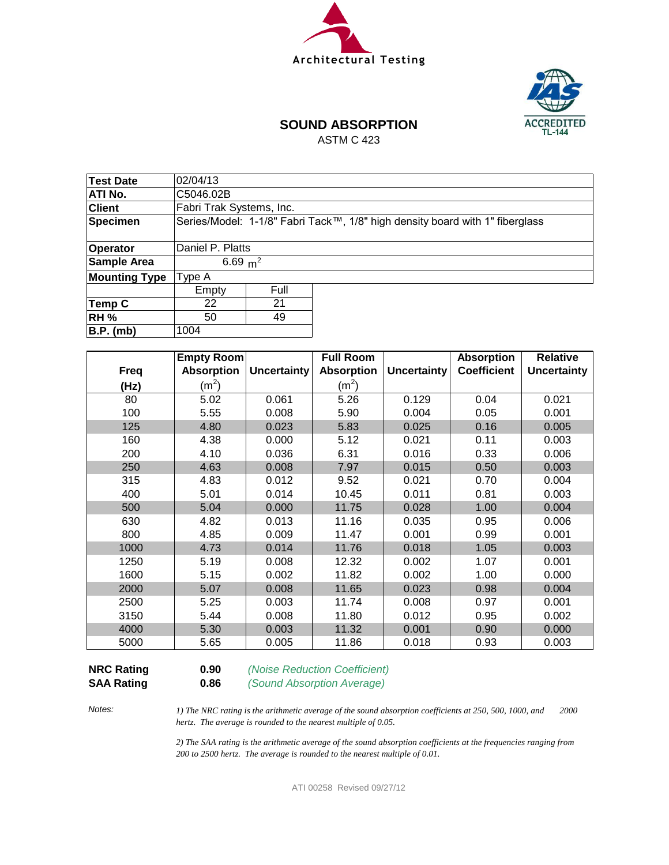



# **SOUND ABSORPTION**

ASTM C 423

| 02/04/13   |      |                                                                              |  |  |  |  |
|------------|------|------------------------------------------------------------------------------|--|--|--|--|
| C5046.02B  |      |                                                                              |  |  |  |  |
|            |      |                                                                              |  |  |  |  |
|            |      | Series/Model: 1-1/8" Fabri Tack™, 1/8" high density board with 1" fiberglass |  |  |  |  |
|            |      |                                                                              |  |  |  |  |
|            |      |                                                                              |  |  |  |  |
| 6.69 $m^2$ |      |                                                                              |  |  |  |  |
| Type A     |      |                                                                              |  |  |  |  |
| Empty      | Full |                                                                              |  |  |  |  |
| 22         | 21   |                                                                              |  |  |  |  |
| 49<br>50   |      |                                                                              |  |  |  |  |
| 1004       |      |                                                                              |  |  |  |  |
|            |      | Fabri Trak Systems, Inc.<br>Daniel P. Platts                                 |  |  |  |  |

|             | Empty Room        |                    | <b>Full Room</b>  |                    | <b>Absorption</b>  | <b>Relative</b>    |
|-------------|-------------------|--------------------|-------------------|--------------------|--------------------|--------------------|
| <b>Freq</b> | <b>Absorption</b> | <b>Uncertainty</b> | <b>Absorption</b> | <b>Uncertainty</b> | <b>Coefficient</b> | <b>Uncertainty</b> |
| (Hz)        | (m <sup>2</sup> ) |                    | (m <sup>2</sup> ) |                    |                    |                    |
| 80          | 5.02              | 0.061              | 5.26              | 0.129              | 0.04               | 0.021              |
| 100         | 5.55              | 0.008              | 5.90              | 0.004              | 0.05               | 0.001              |
| 125         | 4.80              | 0.023              | 5.83              | 0.025              | 0.16               | 0.005              |
| 160         | 4.38              | 0.000              | 5.12              | 0.021              | 0.11               | 0.003              |
| 200         | 4.10              | 0.036              | 6.31              | 0.016              | 0.33               | 0.006              |
| 250         | 4.63              | 0.008              | 7.97              | 0.015              | 0.50               | 0.003              |
| 315         | 4.83              | 0.012              | 9.52              | 0.021              | 0.70               | 0.004              |
| 400         | 5.01              | 0.014              | 10.45             | 0.011              | 0.81               | 0.003              |
| 500         | 5.04              | 0.000              | 11.75             | 0.028              | 1.00               | 0.004              |
| 630         | 4.82              | 0.013              | 11.16             | 0.035              | 0.95               | 0.006              |
| 800         | 4.85              | 0.009              | 11.47             | 0.001              | 0.99               | 0.001              |
| 1000        | 4.73              | 0.014              | 11.76             | 0.018              | 1.05               | 0.003              |
| 1250        | 5.19              | 0.008              | 12.32             | 0.002              | 1.07               | 0.001              |
| 1600        | 5.15              | 0.002              | 11.82             | 0.002              | 1.00               | 0.000              |
| 2000        | 5.07              | 0.008              | 11.65             | 0.023              | 0.98               | 0.004              |
| 2500        | 5.25              | 0.003              | 11.74             | 0.008              | 0.97               | 0.001              |
| 3150        | 5.44              | 0.008              | 11.80             | 0.012              | 0.95               | 0.002              |
| 4000        | 5.30              | 0.003              | 11.32             | 0.001              | 0.90               | 0.000              |
| 5000        | 5.65              | 0.005              | 11.86             | 0.018              | 0.93               | 0.003              |

**SAA Rating 0.86** *(Sound Absorption Average)*

**NRC Rating 0.90** *(Noise Reduction Coefficient)*

*Notes:*

*1) The NRC rating is the arithmetic average of the sound absorption coefficients at 250, 500, 1000, and 2000 hertz. The average is rounded to the nearest multiple of 0.05.*

*2) The SAA rating is the arithmetic average of the sound absorption coefficients at the frequencies ranging from 200 to 2500 hertz. The average is rounded to the nearest multiple of 0.01.*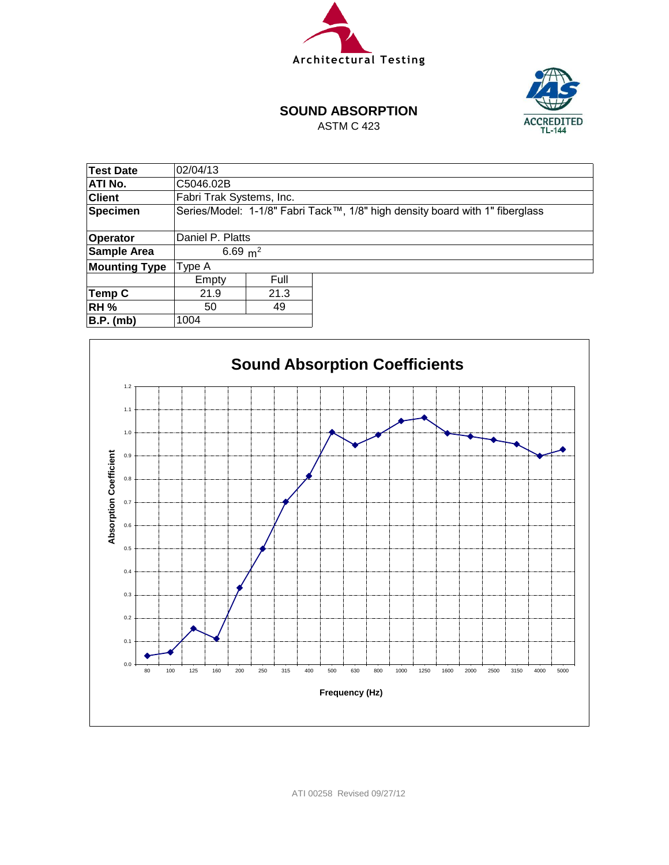



#### **SOUND ABSORPTION**

ASTM C 423

| Test Date            | 02/04/13                 |      |                                                                              |  |  |  |
|----------------------|--------------------------|------|------------------------------------------------------------------------------|--|--|--|
|                      |                          |      |                                                                              |  |  |  |
| ATI No.              | C5046.02B                |      |                                                                              |  |  |  |
| <b>Client</b>        | Fabri Trak Systems, Inc. |      |                                                                              |  |  |  |
| <b>Specimen</b>      |                          |      | Series/Model: 1-1/8" Fabri Tack™, 1/8" high density board with 1" fiberglass |  |  |  |
|                      |                          |      |                                                                              |  |  |  |
| <b>Operator</b>      | Daniel P. Platts         |      |                                                                              |  |  |  |
| <b>Sample Area</b>   | 6.69 $m^2$               |      |                                                                              |  |  |  |
| <b>Mounting Type</b> | Type A                   |      |                                                                              |  |  |  |
|                      | Empty                    | Full |                                                                              |  |  |  |
| Temp C               | 21.3<br>21.9             |      |                                                                              |  |  |  |
| <b>RH %</b>          | 49<br>50                 |      |                                                                              |  |  |  |
| $B.P.$ (mb)          | 1004                     |      |                                                                              |  |  |  |